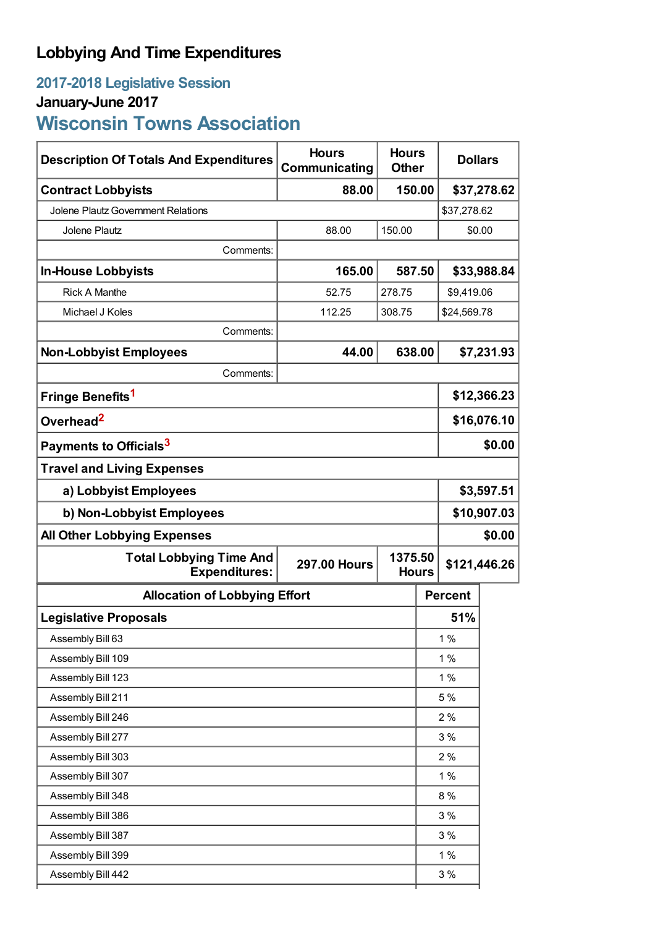## **Lobbying And Time Expenditures**

## **2017-2018 Legislative Session January-June 2017 Wisconsin Towns Association**

| <b>Description Of Totals And Expenditures</b>                                                            | <b>Hours</b><br>Communicating |        | <b>Hours</b><br><b>Dollars</b><br><b>Other</b> |                |             |  |
|----------------------------------------------------------------------------------------------------------|-------------------------------|--------|------------------------------------------------|----------------|-------------|--|
| <b>Contract Lobbyists</b>                                                                                | 88.00                         | 150.00 |                                                | \$37,278.62    |             |  |
| <b>Jolene Plautz Government Relations</b>                                                                |                               |        |                                                | \$37,278.62    |             |  |
| Jolene Plautz                                                                                            | 88.00                         | 150.00 |                                                | \$0.00         |             |  |
| Comments:                                                                                                |                               |        |                                                |                |             |  |
| <b>In-House Lobbyists</b>                                                                                | 165.00                        |        | 587.50                                         |                | \$33,988.84 |  |
| <b>Rick A Manthe</b>                                                                                     | 52.75                         | 278.75 |                                                | \$9,419.06     |             |  |
| Michael J Koles                                                                                          | 112.25                        | 308.75 | \$24,569.78                                    |                |             |  |
| Comments:                                                                                                |                               |        |                                                |                |             |  |
| <b>Non-Lobbyist Employees</b>                                                                            | 44.00                         | 638.00 |                                                |                | \$7,231.93  |  |
| Comments:                                                                                                |                               |        |                                                |                |             |  |
| Fringe Benefits <sup>1</sup>                                                                             |                               |        |                                                | \$12,366.23    |             |  |
| Overhead <sup>2</sup>                                                                                    |                               |        |                                                | \$16,076.10    |             |  |
| Payments to Officials <sup>3</sup>                                                                       |                               |        |                                                | \$0.00         |             |  |
| <b>Travel and Living Expenses</b>                                                                        |                               |        |                                                |                |             |  |
| a) Lobbyist Employees                                                                                    |                               |        |                                                | \$3,597.51     |             |  |
| b) Non-Lobbyist Employees                                                                                |                               |        |                                                | \$10,907.03    |             |  |
| <b>All Other Lobbying Expenses</b><br>\$0.00                                                             |                               |        |                                                |                |             |  |
| <b>Total Lobbying Time And</b><br>1375.50<br><b>297.00 Hours</b><br><b>Expenditures:</b><br><b>Hours</b> |                               |        |                                                | \$121,446.26   |             |  |
| <b>Allocation of Lobbying Effort</b>                                                                     |                               |        |                                                | <b>Percent</b> |             |  |
| <b>Legislative Proposals</b>                                                                             |                               |        |                                                | 51%            |             |  |
| Assembly Bill 63                                                                                         |                               |        |                                                | $1\%$          |             |  |
| Assembly Bill 109                                                                                        |                               |        |                                                | 1%             |             |  |
| Assembly Bill 123                                                                                        |                               |        | 1%                                             |                |             |  |
| Assembly Bill 211                                                                                        |                               |        | 5 %                                            |                |             |  |
| Assembly Bill 246                                                                                        |                               |        |                                                | 2%             |             |  |
| Assembly Bill 277                                                                                        |                               |        |                                                | 3%             |             |  |
| Assembly Bill 303                                                                                        |                               |        |                                                | 2%             |             |  |
| Assembly Bill 307                                                                                        |                               |        |                                                | 1%             |             |  |
| Assembly Bill 348                                                                                        |                               |        |                                                | 8%             |             |  |
| Assembly Bill 386                                                                                        |                               |        |                                                | 3%             |             |  |
| Assembly Bill 387                                                                                        |                               |        |                                                | 3%             |             |  |
| Assembly Bill 399                                                                                        |                               |        |                                                | 1%             |             |  |
| Assembly Bill 442                                                                                        |                               |        |                                                | 3%             |             |  |